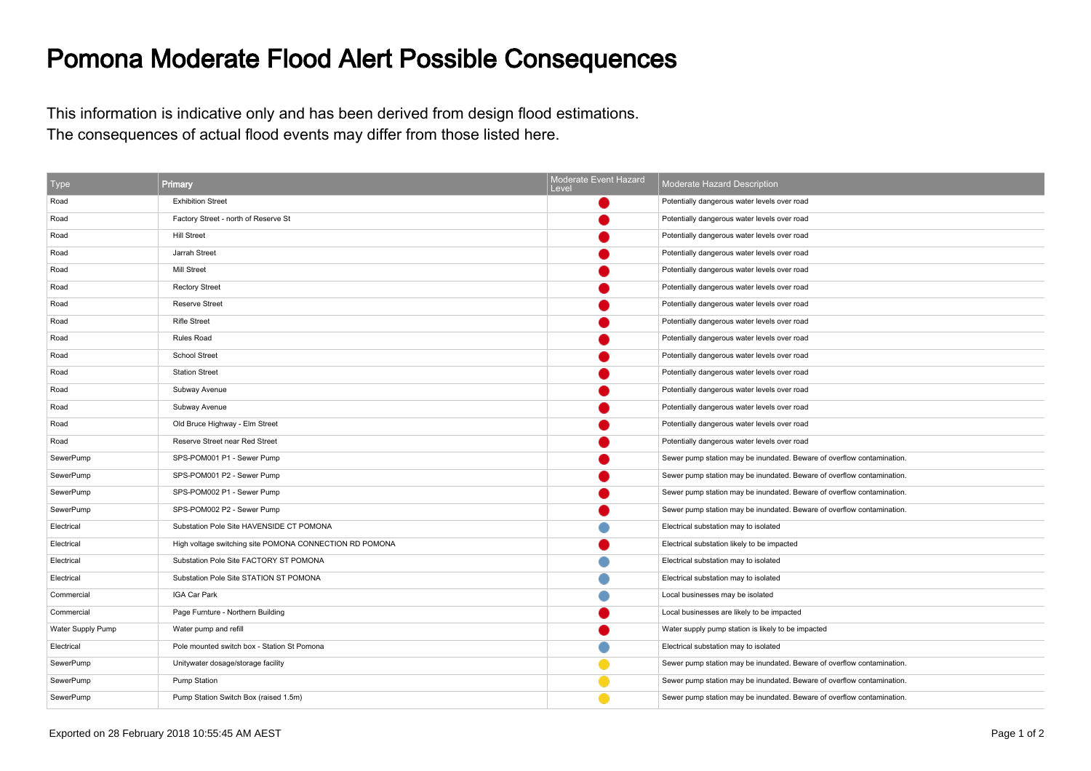## Pomona Moderate Flood Alert Possible Consequences

This information is indicative only and has been derived from design flood estimations.The consequences of actual flood events may differ from those listed here.

| <b>Type</b>       | Primary                                                 | Moderate Event Hazard<br>Level | Moderate Hazard Description                                            |
|-------------------|---------------------------------------------------------|--------------------------------|------------------------------------------------------------------------|
| Road              | <b>Exhibition Street</b>                                |                                | Potentially dangerous water levels over road                           |
| Road              | Factory Street - north of Reserve St                    |                                | Potentially dangerous water levels over road                           |
| Road              | <b>Hill Street</b>                                      |                                | Potentially dangerous water levels over road                           |
| Road              | Jarrah Street                                           |                                | Potentially dangerous water levels over road                           |
| Road              | <b>Mill Street</b>                                      |                                | Potentially dangerous water levels over road                           |
| Road              | <b>Rectory Street</b>                                   |                                | Potentially dangerous water levels over road                           |
| Road              | <b>Reserve Street</b>                                   |                                | Potentially dangerous water levels over road                           |
| Road              | <b>Rifle Street</b>                                     |                                | Potentially dangerous water levels over road                           |
| Road              | Rules Road                                              |                                | Potentially dangerous water levels over road                           |
| Road              | School Street                                           |                                | Potentially dangerous water levels over road                           |
| Road              | <b>Station Street</b>                                   |                                | Potentially dangerous water levels over road                           |
| Road              | Subway Avenue                                           |                                | Potentially dangerous water levels over road                           |
| Road              | Subway Avenue                                           |                                | Potentially dangerous water levels over road                           |
| Road              | Old Bruce Highway - Elm Street                          |                                | Potentially dangerous water levels over road                           |
| Road              | Reserve Street near Red Street                          |                                | Potentially dangerous water levels over road                           |
| SewerPump         | SPS-POM001 P1 - Sewer Pump                              |                                | Sewer pump station may be inundated. Beware of overflow contamination. |
| SewerPump         | SPS-POM001 P2 - Sewer Pump                              |                                | Sewer pump station may be inundated. Beware of overflow contamination. |
| SewerPump         | SPS-POM002 P1 - Sewer Pump                              |                                | Sewer pump station may be inundated. Beware of overflow contamination. |
| SewerPump         | SPS-POM002 P2 - Sewer Pump                              |                                | Sewer pump station may be inundated. Beware of overflow contamination. |
| Electrical        | Substation Pole Site HAVENSIDE CT POMONA                |                                | Electrical substation may to isolated                                  |
| Electrical        | High voltage switching site POMONA CONNECTION RD POMONA |                                | Electrical substation likely to be impacted                            |
| Electrical        | Substation Pole Site FACTORY ST POMONA                  |                                | Electrical substation may to isolated                                  |
| Electrical        | Substation Pole Site STATION ST POMONA                  |                                | Electrical substation may to isolated                                  |
| Commercial        | IGA Car Park                                            |                                | Local businesses may be isolated                                       |
| Commercial        | Page Furnture - Northern Building                       |                                | Local businesses are likely to be impacted                             |
| Water Supply Pump | Water pump and refill                                   |                                | Water supply pump station is likely to be impacted                     |
| Electrical        | Pole mounted switch box - Station St Pomona             |                                | Electrical substation may to isolated                                  |
| SewerPump         | Unitywater dosage/storage facility                      |                                | Sewer pump station may be inundated. Beware of overflow contamination. |
| SewerPump         | Pump Station                                            |                                | Sewer pump station may be inundated. Beware of overflow contamination. |
| SewerPump         | Pump Station Switch Box (raised 1.5m)                   |                                | Sewer pump station may be inundated. Beware of overflow contamination. |